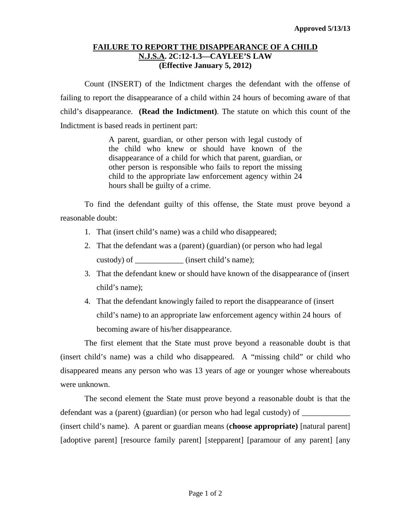## **FAILURE TO REPORT THE DISAPPEARANCE OF A CHILD N.J.S.A. 2C:12-1.3—CAYLEE'S LAW (Effective January 5, 2012)**

Count (INSERT) of the Indictment charges the defendant with the offense of failing to report the disappearance of a child within 24 hours of becoming aware of that child's disappearance. **(Read the Indictment)**. The statute on which this count of the Indictment is based reads in pertinent part:

> A parent, guardian, or other person with legal custody of the child who knew or should have known of the disappearance of a child for which that parent, guardian, or other person is responsible who fails to report the missing child to the appropriate law enforcement agency within 24 hours shall be guilty of a crime.

To find the defendant guilty of this offense, the State must prove beyond a reasonable doubt:

- 1. That (insert child's name) was a child who disappeared;
- 2. That the defendant was a (parent) (guardian) (or person who had legal custody) of \_\_\_\_\_\_\_\_\_\_\_\_ (insert child's name);
- 3. That the defendant knew or should have known of the disappearance of (insert child's name);
- 4. That the defendant knowingly failed to report the disappearance of (insert child's name) to an appropriate law enforcement agency within 24 hours of becoming aware of his/her disappearance.

The first element that the State must prove beyond a reasonable doubt is that (insert child's name) was a child who disappeared. A "missing child" or child who disappeared means any person who was 13 years of age or younger whose whereabouts were unknown.

The second element the State must prove beyond a reasonable doubt is that the defendant was a (parent) (guardian) (or person who had legal custody) of (insert child's name). A parent or guardian means (**choose appropriate)** [natural parent] [adoptive parent] [resource family parent] [stepparent] [paramour of any parent] [any